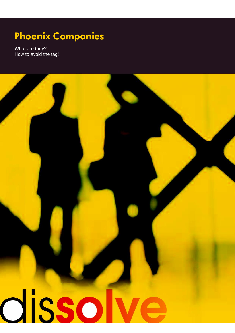What are they? How to avoid the tag!

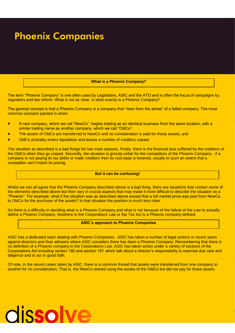#### **What is a Phoenix Company?**

The term "Phoenix Company" is one often used by Legislators, ASIC and the ATO and is often the focus of campaigns by regulators and law reform. What is not as clear, is what exactly is a Phoenix Company?

The general concept is that a Phoenix Company is a company that "rises from the ashes" of a failed company. The most common scenario painted is when:

- A new company, which we call "NewCo", begins trading as an identical business from the same location, with a similar trading name as another company, which we call "OldCo";
- The assets of OldCo are transferred to NewCo and no consideration is paid for those assets; and
- OldCo probably enters liquidation and leaves a number of creditors unpaid.

The situation as described is a bad things for two main reasons. Firstly, there is the financial loss suffered by the creditors of the OldCo when they go unpaid. Secondly, the situation is grossly unfair for the competitors of the Phoenix Company - if a company is not paying its tax debts or trade creditors then its cost base is lowered, usually to such an extent that a competitor can't match its pricing.

#### **But it can be confusing!**

Whilst we can all agree that the Phoenix Company described above is a bad thing, there are situations that contain some of the elements described above but then vary in crucial aspects that may make it more difficult to describe the situation as a "Phoenix". For example, what if the situation was as described above except that a full market price was paid from NewCo to OldCo for the purchase of the assets? In that situation the position is much less clear.

So there is a difficulty in deciding what is a Phoenix Company and what is not because of the failure of the Law to actually define a Phoenix Company. Nowhere in the Corporations Law or the Tax Act is a Phoenix company defined.

### **ASIC's approach to Phoenix Companies**

ASIC has a dedicated team dealing with Phoenix Companies. ASIC has taken a number of legal actions in recent years against directors and their advisers where ASIC considers there has been a Phoenix Company. Remembering that there is no definition of a Phoenix company in the Corporations Law, ASIC has taken action under a variety of sections of the Corporations Act including section 180 and section 181 which talk about a director's responsibility to exercise due care and diligence and to act in good faith.

Of note, in the recent cases taken by ASIC, there is a common thread that assets were transferred from one company to another for no consideration. That is, the NewCo started using the assets of the OldCo but did not pay for those assets.

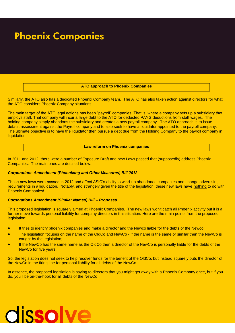#### **ATO approach to Phoenix Companies**

Similarly, the ATO also has a dedicated Phoenix Company team. The ATO has also taken action against directors for what the ATO considers Phoenix Company situations.

The main target of the ATO legal actions has been "payroll" companies. That is, where a company sets up a subsidiary that employs staff. That company will incur a large debt to the ATO for deducted PAYG deductions from staff wages. The holding company simply abandons the subsidiary and creates a new payroll company. The ATO approach is to issue default assessment against the Payroll company and to also seek to have a liquidator appointed to the payroll company. The ultimate objective is to have the liquidator then pursue a debt due from the Holding Company to the payroll company in liquidation.

#### **Law reform on Phoenix companies**

In 2011 and 2012, there were a number of Exposure Draft and new Laws passed that (supposedly) address Phoenix Companies. The main ones are detailed below.

#### *Corporations Amendment (Phoenixing and Other Measures) Bill 2012*

These new laws were passed in 2012 and affect ASIC's ability to wind-up abandoned companies and change advertising requirements in a liquidation. Notably, and strangely given the title of the legislation, these new laws have nothing to do with Phoenix Companies!

#### *Corporations Amendment (Similar Names) Bill – Proposed*

This proposed legislation is squarely aimed at Phoenix Companies. The new laws won't catch all Phoenix activity but it is a further move towards personal liability for company directors in this situation. Here are the main points from the proposed legislation:

- It tries to identify phoenix companies and make a director and the Newco liable for the debts of the Newco;
- The legislation focuses on the name of the OldCo and NewCo if the name is the same or similar then the NewCo is caught by the legislation:
- If the NewCo has the same name as the OldCo then a director of the NewCo is personally liable for the debts of the NewCo for five years.

So, the legislation does not seek to help recover funds for the benefit of the OldCo, but instead squarely puts the director of the NewCo in the firing line for personal liability for all debts of the NewCo.

In essence, the proposed legislation is saying to directors that you might get away with a Phoenix Company once, but if you do, you'll be on-the-hook for all debts of the NewCo.